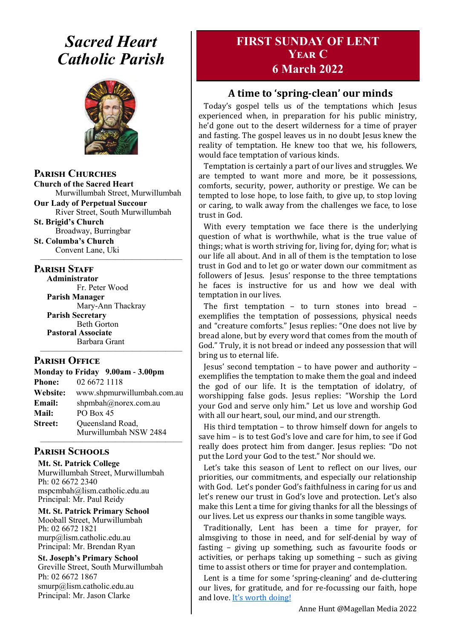# *Sacred Heart Catholic Parish*



**Parish Churches**

**Church of the Sacred Heart** Murwillumbah Street, Murwillumbah

**Our Lady of Perpetual Succour** River Street, South Murwillumbah

**St. Brigid's Church** Broadway, Burringbar **St. Columba's Church**

Convent Lane, Uki —————————————————

#### **PARISH STAFF**

**Administrator** Fr. Peter Wood **Parish Manager** Mary-Ann Thackray **Parish Secretary** Beth Gorton **Pastoral Associate** Barbara Grant

#### **Parish Office**

**Monday to Friday 9.00am - 3.00pm Phone:** 02 6672 1118 **Website:** www.shpmurwillumbah.com.au **Email:** shpmbah@norex.com.au **Mail:** PO Box 45 **Street:** Oueensland Road, Murwillumbah NSW 2484

—————————————————

#### ————————————————— **Parish Schools**

**Mt. St. Patrick College** Murwillumbah Street, Murwillumbah Ph: 02 6672 2340 mspcmbah@lism.catholic.edu.au Principal: Mr. Paul Reidy

**Mt. St. Patrick Primary School** Mooball Street, Murwillumbah Ph: 02 6672 1821 murp@lism.catholic.edu.au Principal: Mr. Brendan Ryan

**St. Joseph's Primary School** Greville Street, South Murwillumbah Ph: 02 6672 1867 smurp@lism.catholic.edu.au Principal: Mr. Jason Clarke

# **FIRST SUNDAY OF LENT Year C 6 March 2022**

## **A time to 'spring-clean' our minds**

Today's gospel tells us of the temptations which Jesus experienced when, in preparation for his public ministry, he'd gone out to the desert wilderness for a time of prayer and fasting. The gospel leaves us in no doubt Jesus knew the reality of temptation. He knew too that we, his followers, would face temptation of various kinds.

Temptation is certainly a part of our lives and struggles. We are tempted to want more and more, be it possessions, comforts, security, power, authority or prestige. We can be tempted to lose hope, to lose faith, to give up, to stop loving or caring, to walk away from the challenges we face, to lose trust in God.

With every temptation we face there is the underlying question of what is worthwhile, what is the true value of things; what is worth striving for, living for, dying for; what is our life all about. And in all of them is the temptation to lose trust in God and to let go or water down our commitment as followers of Jesus. Jesus' response to the three temptations he faces is instructive for us and how we deal with temptation in our lives.

The first temptation – to turn stones into bread – exemplifies the temptation of possessions, physical needs and "creature comforts." Jesus replies: "One does not live by bread alone, but by every word that comes from the mouth of God." Truly, it is not bread or indeed any possession that will bring us to eternal life.

Jesus' second temptation – to have power and authority – exemplifies the temptation to make them the goal and indeed the god of our life. It is the temptation of idolatry, of worshipping false gods. Jesus replies: "Worship the Lord your God and serve only him." Let us love and worship God with all our heart, soul, our mind, and our strength.

His third temptation – to throw himself down for angels to save him – is to test God's love and care for him, to see if God really does protect him from danger. Jesus replies: "Do not put the Lord your God to the test." Nor should we.

Let's take this season of Lent to reflect on our lives, our priorities, our commitments, and especially our relationship with God. Let's ponder God's faithfulness in caring for us and let's renew our trust in God's love and protection. Let's also make this Lent a time for giving thanks for all the blessings of our lives. Let us express our thanks in some tangible ways.

Traditionally, Lent has been a time for prayer, for almsgiving to those in need, and for self-denial by way of fasting – giving up something, such as favourite foods or activities, or perhaps taking up something – such as giving time to assist others or time for prayer and contemplation.

Lent is a time for some 'spring-cleaning' and de-cluttering our lives, for gratitude, and for re-focussing our faith, hope and love. It's worth doing!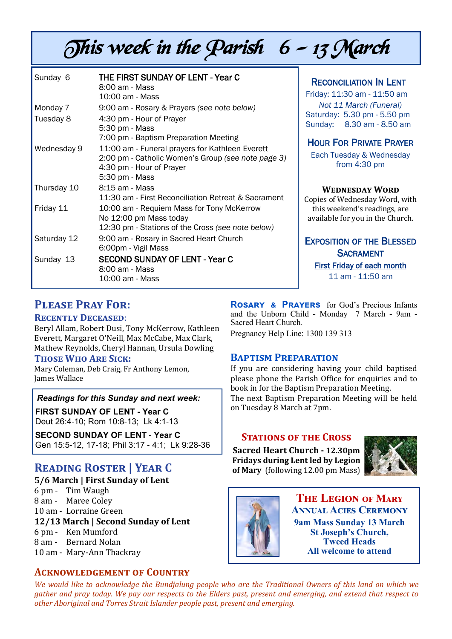# This week in the Parish  $6 - 13$  March

| Sunday 6    | THE FIRST SUNDAY OF LENT - Year C<br>8:00 am - Mass<br>10:00 am - Mass                                                                              |
|-------------|-----------------------------------------------------------------------------------------------------------------------------------------------------|
| Monday 7    | 9:00 am - Rosary & Prayers (see note below)                                                                                                         |
| Tuesday 8   | 4:30 pm - Hour of Prayer<br>5:30 pm - Mass<br>7:00 pm - Baptism Preparation Meeting                                                                 |
| Wednesday 9 | 11:00 am - Funeral prayers for Kathleen Everett<br>2:00 pm - Catholic Women's Group (see note page 3)<br>4:30 pm - Hour of Prayer<br>5:30 pm - Mass |
| Thursday 10 | 8:15 am - Mass<br>11:30 am - First Reconciliation Retreat & Sacrament                                                                               |
| Friday 11   | 10:00 am - Requiem Mass for Tony McKerrow<br>No 12:00 pm Mass today<br>12:30 pm - Stations of the Cross (see note below)                            |
| Saturday 12 | 9:00 am - Rosary in Sacred Heart Church<br>6:00pm - Vigil Mass                                                                                      |
| Sunday 13   | <b>SECOND SUNDAY OF LENT - Year C</b><br>8:00 am - Mass<br>10:00 am - Mass                                                                          |

RECONCILIATION IN LENT

Friday: 11:30 am - 11:50 am *Not 11 March (Funeral)* Saturday: 5.30 pm - 5.50 pm Sunday: 8.30 am - 8.50 am

## HOUR FOR PRIVATE PRAYER

Each Tuesday & Wednesday from 4:30 pm

#### **Wednesday Word**

Copies of Wednesday Word, with this weekend's readings, are available for you in the Church.

#### EXPOSITION OF THE BLESSED **SACRAMENT** First Friday of each month 11 am - 11:50 am

# **Please Pray For:**

#### **Recently Deceased**:

Beryl Allam, Robert Dusi, Tony McKerrow, Kathleen Everett, Margaret O'Neill, Max McCabe, Max Clark, Mathew Reynolds, Cheryl Hannan, Ursula Dowling

#### **Those Who Are Sick:**

Mary Coleman, Deb Craig, Fr Anthony Lemon, James Wallace

#### *Readings for this Sunday and next week:*

**FIRST SUNDAY OF LENT - Year C** Deut 26:4-10; Rom 10:8-13; Lk 4:1-13

**SECOND SUNDAY OF LENT - Year C** Gen 15:5-12, 17-18; Phil 3:17 - 4:1; Lk 9:28-36

# **Reading Roster | Year C**

**5/6 March | First Sunday of Lent** 

6 pm - Tim Waugh 8 am - Maree Coley 10 am - Lorraine Green **12/13 March | Second Sunday of Lent**  6 pm - Ken Mumford 8 am - Bernard Nolan 10 am - Mary-Ann Thackray

#### **Acknowledgement of Country**

**Rosary & Prayers** for God's Precious Infants and the Unborn Child - Monday 7 March - 9am - Sacred Heart Church. Pregnancy Help Line: 1300 139 313

#### **Baptism Preparation**

If you are considering having your child baptised please phone the Parish Office for enquiries and to book in for the Baptism Preparation Meeting. The next Baptism Preparation Meeting will be held on Tuesday 8 March at 7pm.

#### **STATIONS OF THE CROSS**

**Sacred Heart Church - 12.30pm Fridays during Lent led by Legion of Mary** (following 12.00 pm Mass)





**The Legion of Mary Annual Acies Ceremony 9am Mass Sunday 13 March St Joseph's Church, Tweed Heads All welcome to attend**

*We would like to acknowledge the Bundjalung people who are the Traditional Owners of this land on which we gather and pray today. We pay our respects to the Elders past, present and emerging, and extend that respect to other Aboriginal and Torres Strait Islander people past, present and emerging.*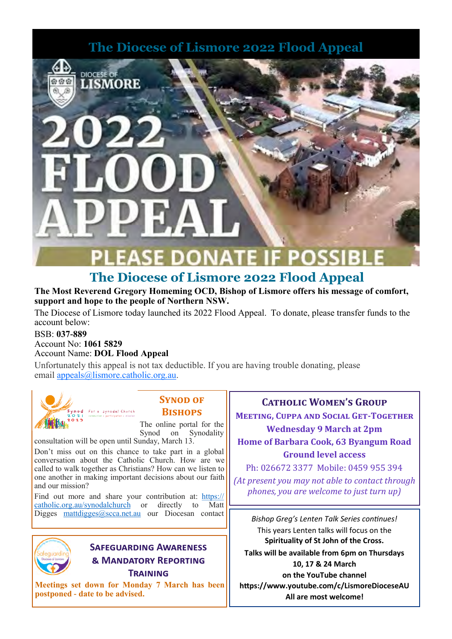# **The Diocese of Lismore 2022 Flood Appeal**





# **The Diocese of Lismore 2022 Flood Appeal**

#### **The Most Reverend Gregory Homeming OCD, Bishop of Lismore offers his message of comfort, support and hope to the people of Northern NSW.**

The Diocese of Lismore today launched its 2022 Flood Appeal. To donate, please transfer funds to the account below:

#### BSB: **037-889** Account No: **1061 5829** Account Name: **DOL Flood Appeal**

Unfortunately this appeal is not tax deductible. If you are having trouble donating, please email [appeals@lismore.catholic.org.au.](mailto:appeals@lismore.catholic.org.au)



## **SYNOD OF Bishops**

The online portal for the Synod on Synodality

consultation will be open until Sunday, March 13.

Don't miss out on this chance to take part in a global conversation about the Catholic Church. How are we called to walk together as Christians? How can we listen to one another in making important decisions about our faith and our mission?

Find out more and share your contribution at: [https://](https://catholic.org.au/synodalchurch) [catholic.org.au/synodalchurch](https://catholic.org.au/synodalchurch) or directly to Matt Digges [mattdigges@scca.net.au](mailto:mattdigges@scca.net.au) our Diocesan contact



## **Safeguarding Awareness & Mandatory Reporting Training**

**Meetings set down for Monday 7 March has been postponed - date to be advised.**

### **Catholic Women's Group**

**Meeting, Cuppa and Social Get-Together Wednesday 9 March at 2pm Home of Barbara Cook, 63 Byangum Road Ground level access**

Ph: 026672 3377 Mobile: 0459 955 394 *(At present you may not able to contact through phones, you are welcome to just turn up)* 

*Bishop Greg's Lenten Talk Series continues!*  This years Lenten talks will focus on the **Spirituality of St John of the Cross. Talks will be available from 6pm on Thursdays 10, 17 & 24 March on the YouTube channel https://www.youtube.com/c/LismoreDioceseAU All are most welcome!**